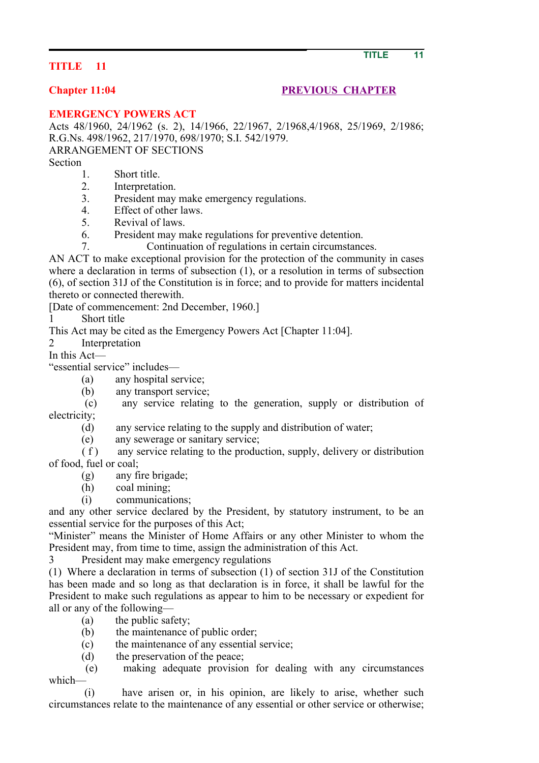## **TITLE 11**

## **Chapter 11:04 PREVIOUS CHAPTER**

**EMERGENCY POWERS ACT**

Acts 48/1960, 24/1962 (s. 2), 14/1966, 22/1967, 2/1968,4/1968, 25/1969, 2/1986; R.G.Ns. 498/1962, 217/1970, 698/1970; S.I. 542/1979.

ARRANGEMENT OF SECTIONS

Section

- 1. Short title.
- 2. Interpretation.
- 3. President may make emergency regulations.
- 4. Effect of other laws.
- 5. Revival of laws.
- 6. President may make regulations for preventive detention.
- 7. Continuation of regulations in certain circumstances.

AN ACT to make exceptional provision for the protection of the community in cases where a declaration in terms of subsection (1), or a resolution in terms of subsection (6), of section 31J of the Constitution is in force; and to provide for matters incidental thereto or connected therewith.

[Date of commencement: 2nd December, 1960.]

1 Short title

This Act may be cited as the Emergency Powers Act [Chapter 11:04].

2 Interpretation

In this Act—

"essential service" includes—

- (a) any hospital service;
- (b) any transport service;

 (c) any service relating to the generation, supply or distribution of electricity;

- (d) any service relating to the supply and distribution of water;
- (e) any sewerage or sanitary service;

 $(f)$  any service relating to the production, supply, delivery or distribution of food, fuel or coal;

(g) any fire brigade;

(h) coal mining;

(i) communications;

and any other service declared by the President, by statutory instrument, to be an essential service for the purposes of this Act;

"Minister" means the Minister of Home Affairs or any other Minister to whom the President may, from time to time, assign the administration of this Act.

President may make emergency regulations

(1) Where a declaration in terms of subsection (1) of section 31J of the Constitution has been made and so long as that declaration is in force, it shall be lawful for the President to make such regulations as appear to him to be necessary or expedient for all or any of the following—

- (a) the public safety;
- (b) the maintenance of public order;
- (c) the maintenance of any essential service;

(d) the preservation of the peace;

 (e) making adequate provision for dealing with any circumstances which—

 (i) have arisen or, in his opinion, are likely to arise, whether such circumstances relate to the maintenance of any essential or other service or otherwise;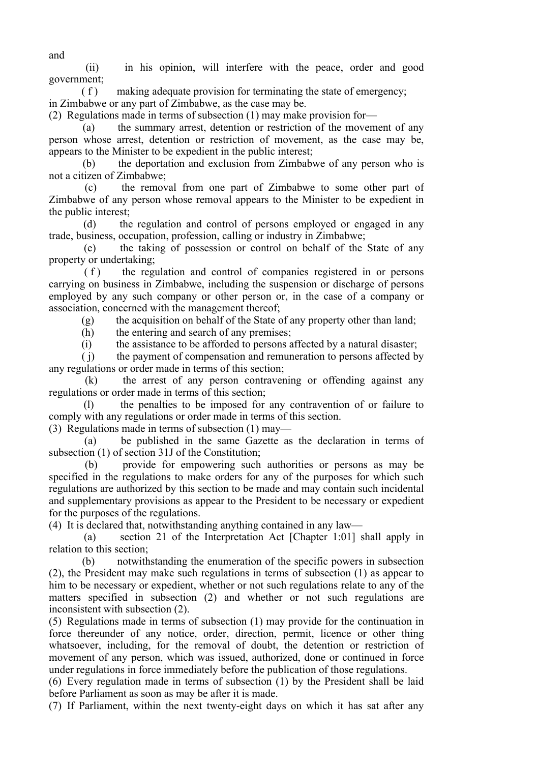(ii) in his opinion, will interfere with the peace, order and good government;

 ( f ) making adequate provision for terminating the state of emergency; in Zimbabwe or any part of Zimbabwe, as the case may be.

(2) Regulations made in terms of subsection (1) may make provision for—

 (a) the summary arrest, detention or restriction of the movement of any person whose arrest, detention or restriction of movement, as the case may be, appears to the Minister to be expedient in the public interest;

 (b) the deportation and exclusion from Zimbabwe of any person who is not a citizen of Zimbabwe;

 (c) the removal from one part of Zimbabwe to some other part of Zimbabwe of any person whose removal appears to the Minister to be expedient in the public interest;

 (d) the regulation and control of persons employed or engaged in any trade, business, occupation, profession, calling or industry in Zimbabwe;

 (e) the taking of possession or control on behalf of the State of any property or undertaking;

(f) the regulation and control of companies registered in or persons carrying on business in Zimbabwe, including the suspension or discharge of persons employed by any such company or other person or, in the case of a company or association, concerned with the management thereof;

(g) the acquisition on behalf of the State of any property other than land;

(h) the entering and search of any premises;

(i) the assistance to be afforded to persons affected by a natural disaster;

 ( j) the payment of compensation and remuneration to persons affected by any regulations or order made in terms of this section;

 (k) the arrest of any person contravening or offending against any regulations or order made in terms of this section;

 (l) the penalties to be imposed for any contravention of or failure to comply with any regulations or order made in terms of this section.

(3) Regulations made in terms of subsection (1) may—

 (a) be published in the same Gazette as the declaration in terms of subsection (1) of section 31J of the Constitution;

 (b) provide for empowering such authorities or persons as may be specified in the regulations to make orders for any of the purposes for which such regulations are authorized by this section to be made and may contain such incidental and supplementary provisions as appear to the President to be necessary or expedient for the purposes of the regulations.

(4) It is declared that, notwithstanding anything contained in any law—

 (a) section 21 of the Interpretation Act [Chapter 1:01] shall apply in relation to this section;

 (b) notwithstanding the enumeration of the specific powers in subsection (2), the President may make such regulations in terms of subsection (1) as appear to him to be necessary or expedient, whether or not such regulations relate to any of the matters specified in subsection (2) and whether or not such regulations are inconsistent with subsection (2).

(5) Regulations made in terms of subsection (1) may provide for the continuation in force thereunder of any notice, order, direction, permit, licence or other thing whatsoever, including, for the removal of doubt, the detention or restriction of movement of any person, which was issued, authorized, done or continued in force under regulations in force immediately before the publication of those regulations.

(6) Every regulation made in terms of subsection (1) by the President shall be laid before Parliament as soon as may be after it is made.

(7) If Parliament, within the next twenty-eight days on which it has sat after any

and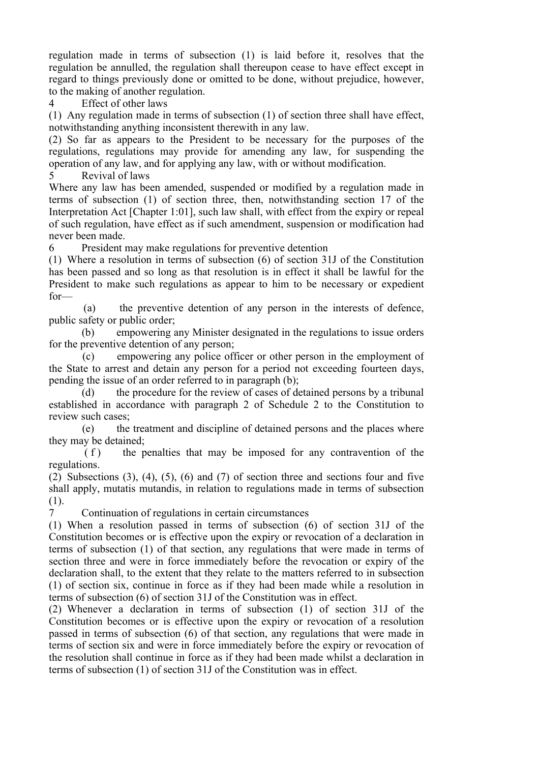regulation made in terms of subsection (1) is laid before it, resolves that the regulation be annulled, the regulation shall thereupon cease to have effect except in regard to things previously done or omitted to be done, without prejudice, however, to the making of another regulation.

4 Effect of other laws

(1) Any regulation made in terms of subsection (1) of section three shall have effect, notwithstanding anything inconsistent therewith in any law.

(2) So far as appears to the President to be necessary for the purposes of the regulations, regulations may provide for amending any law, for suspending the operation of any law, and for applying any law, with or without modification.

5 Revival of laws

Where any law has been amended, suspended or modified by a regulation made in terms of subsection (1) of section three, then, notwithstanding section 17 of the Interpretation Act [Chapter 1:01], such law shall, with effect from the expiry or repeal of such regulation, have effect as if such amendment, suspension or modification had never been made.

6 President may make regulations for preventive detention

(1) Where a resolution in terms of subsection (6) of section 31J of the Constitution has been passed and so long as that resolution is in effect it shall be lawful for the President to make such regulations as appear to him to be necessary or expedient for—

 (a) the preventive detention of any person in the interests of defence, public safety or public order;

 (b) empowering any Minister designated in the regulations to issue orders for the preventive detention of any person;

 (c) empowering any police officer or other person in the employment of the State to arrest and detain any person for a period not exceeding fourteen days, pending the issue of an order referred to in paragraph (b);

 (d) the procedure for the review of cases of detained persons by a tribunal established in accordance with paragraph 2 of Schedule 2 to the Constitution to review such cases;

 (e) the treatment and discipline of detained persons and the places where they may be detained;

 $(f)$  the penalties that may be imposed for any contravention of the regulations.

(2) Subsections (3), (4), (5), (6) and (7) of section three and sections four and five shall apply, mutatis mutandis, in relation to regulations made in terms of subsection (1).

7 Continuation of regulations in certain circumstances

(1) When a resolution passed in terms of subsection (6) of section 31J of the Constitution becomes or is effective upon the expiry or revocation of a declaration in terms of subsection (1) of that section, any regulations that were made in terms of section three and were in force immediately before the revocation or expiry of the declaration shall, to the extent that they relate to the matters referred to in subsection (1) of section six, continue in force as if they had been made while a resolution in terms of subsection (6) of section 31J of the Constitution was in effect.

(2) Whenever a declaration in terms of subsection (1) of section 31J of the Constitution becomes or is effective upon the expiry or revocation of a resolution passed in terms of subsection (6) of that section, any regulations that were made in terms of section six and were in force immediately before the expiry or revocation of the resolution shall continue in force as if they had been made whilst a declaration in terms of subsection (1) of section 31J of the Constitution was in effect.